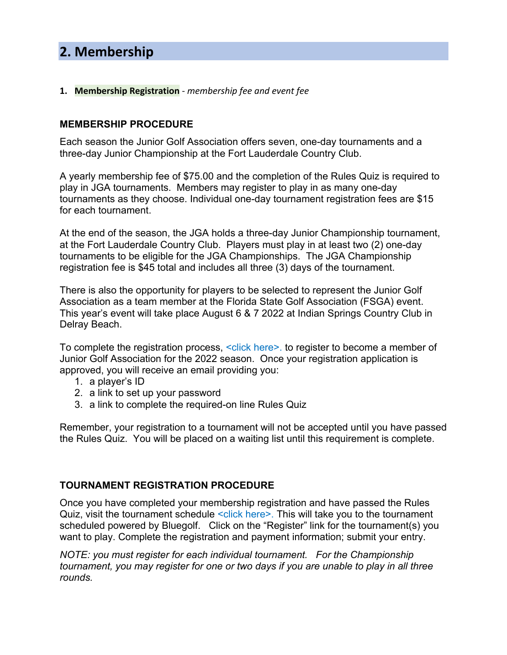# **1. Membership Registration** - *membership fee and event fee*

# **MEMBERSHIP PROCEDURE**

Each season the Junior Golf Association offers seven, one-day tournaments and a three-day Junior Championship at the Fort Lauderdale Country Club.

A yearly membership fee of \$75.00 and the completion of the Rules Quiz is required to play in JGA tournaments. Members may register to play in as many one-day tournaments as they choose. Individual one-day tournament registration fees are \$15 for each tournament.

At the end of the season, the JGA holds a three-day Junior Championship tournament, at the Fort Lauderdale Country Club. Players must play in at least two (2) one-day tournaments to be eligible for the JGA Championships. The JGA Championship registration fee is \$45 total and includes all three (3) days of the tournament.

There is also the opportunity for players to be selected to represent the Junior Golf Association as a team member at the Florida State Golf Association (FSGA) event. This year's event will take place August 6 & 7 2022 at Indian Springs Country Club in Delray Beach.

To complete the registration process, <click here>. to register to become a member of Junior Golf Association for the 2022 season. Once your registration application is approved, you will receive an email providing you:

- 1. a player's ID
- 2. a link to set up your password
- 3. a link to complete the required-on line Rules Quiz

Remember, your registration to a tournament will not be accepted until you have passed the Rules Quiz. You will be placed on a waiting list until this requirement is complete.

## **TOURNAMENT REGISTRATION PROCEDURE**

Once you have completed your membership registration and have passed the Rules Quiz, visit the tournament schedule <click here>. This will take you to the tournament scheduled powered by Bluegolf. Click on the "Register" link for the tournament(s) you want to play. Complete the registration and payment information; submit your entry.

*NOTE: you must register for each individual tournament. For the Championship tournament, you may register for one or two days if you are unable to play in all three rounds.*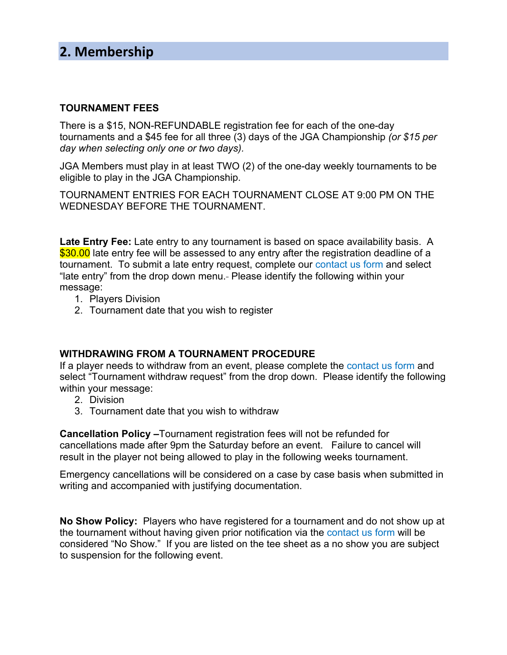## **TOURNAMENT FEES**

There is a \$15, NON-REFUNDABLE registration fee for each of the one-day tournaments and a \$45 fee for all three (3) days of the JGA Championship *(or \$15 per day when selecting only one or two days).*

JGA Members must play in at least TWO (2) of the one-day weekly tournaments to be eligible to play in the JGA Championship.

TOURNAMENT ENTRIES FOR EACH TOURNAMENT CLOSE AT 9:00 PM ON THE WEDNESDAY BEFORE THE TOURNAMENT.

**Late Entry Fee:** Late entry to any tournament is based on space availability basis. A \$30.00 late entry fee will be assessed to any entry after the registration deadline of a tournament. To submit a late entry request, complete our contact us form and select "late entry" from the drop down menu. Please identify the following within your message:

- 1. Players Division
- 2. Tournament date that you wish to register

# **WITHDRAWING FROM A TOURNAMENT PROCEDURE**

If a player needs to withdraw from an event, please complete the contact us form and select "Tournament withdraw request" from the drop down. Please identify the following within your message:

- 2. Division
- 3. Tournament date that you wish to withdraw

**Cancellation Policy –**Tournament registration fees will not be refunded for cancellations made after 9pm the Saturday before an event. Failure to cancel will result in the player not being allowed to play in the following weeks tournament.

Emergency cancellations will be considered on a case by case basis when submitted in writing and accompanied with justifying documentation.

**No Show Policy:** Players who have registered for a tournament and do not show up at the tournament without having given prior notification via the contact us form will be considered "No Show." If you are listed on the tee sheet as a no show you are subject to suspension for the following event.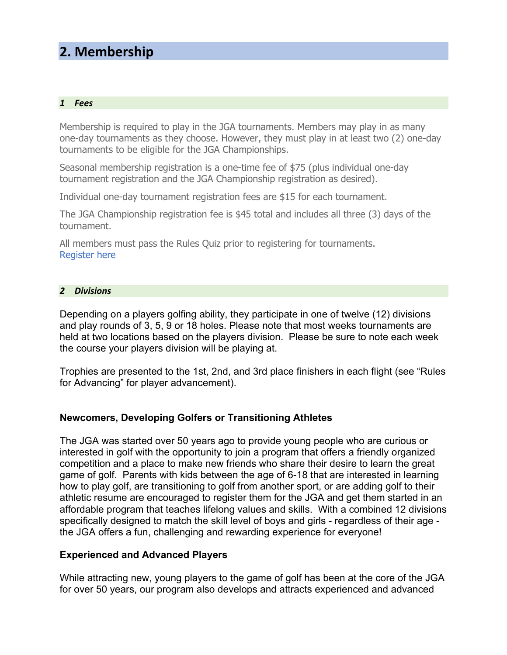#### *1 Fees*

Membership is required to play in the JGA tournaments. Members may play in as many one-day tournaments as they choose. However, they must play in at least two (2) one-day tournaments to be eligible for the JGA Championships.

Seasonal membership registration is a one-time fee of \$75 (plus individual one-day tournament registration and the JGA Championship registration as desired).

Individual one-day tournament registration fees are \$15 for each tournament.

The JGA Championship registration fee is \$45 total and includes all three (3) days of the tournament.

All members must pass the Rules Quiz prior to registering for tournaments. Register here

#### *2 Divisions*

Depending on a players golfing ability, they participate in one of twelve (12) divisions and play rounds of 3, 5, 9 or 18 holes. Please note that most weeks tournaments are held at two locations based on the players division. Please be sure to note each week the course your players division will be playing at.

Trophies are presented to the 1st, 2nd, and 3rd place finishers in each flight (see "Rules for Advancing" for player advancement).

## **Newcomers, Developing Golfers or Transitioning Athletes**

The JGA was started over 50 years ago to provide young people who are curious or interested in golf with the opportunity to join a program that offers a friendly organized competition and a place to make new friends who share their desire to learn the great game of golf. Parents with kids between the age of 6-18 that are interested in learning how to play golf, are transitioning to golf from another sport, or are adding golf to their athletic resume are encouraged to register them for the JGA and get them started in an affordable program that teaches lifelong values and skills. With a combined 12 divisions specifically designed to match the skill level of boys and girls - regardless of their age the JGA offers a fun, challenging and rewarding experience for everyone!

## **Experienced and Advanced Players**

While attracting new, young players to the game of golf has been at the core of the JGA for over 50 years, our program also develops and attracts experienced and advanced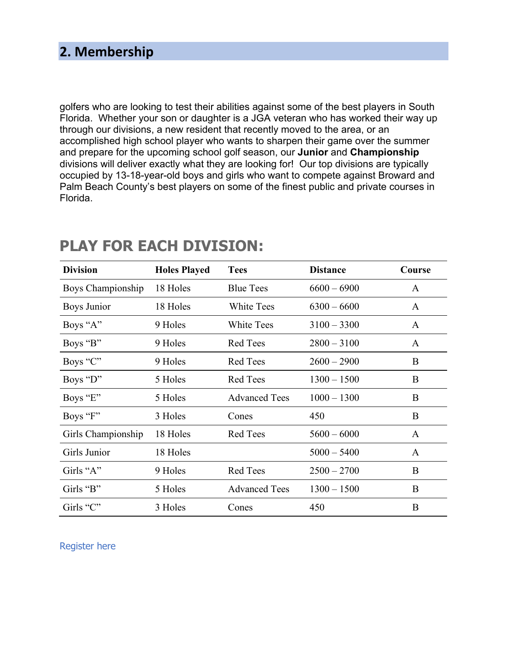golfers who are looking to test their abilities against some of the best players in South Florida. Whether your son or daughter is a JGA veteran who has worked their way up through our divisions, a new resident that recently moved to the area, or an accomplished high school player who wants to sharpen their game over the summer and prepare for the upcoming school golf season, our **Junior** and **Championship**  divisions will deliver exactly what they are looking for! Our top divisions are typically occupied by 13-18-year-old boys and girls who want to compete against Broward and Palm Beach County's best players on some of the finest public and private courses in Florida.

| <b>Division</b>    | <b>Holes Played</b> | <b>Tees</b>          | <b>Distance</b> | Course       |
|--------------------|---------------------|----------------------|-----------------|--------------|
| Boys Championship  | 18 Holes            | <b>Blue Tees</b>     | $6600 - 6900$   | A            |
| Boys Junior        | 18 Holes            | White Tees           | $6300 - 6600$   | A            |
| Boys "A"           | 9 Holes             | <b>White Tees</b>    | $3100 - 3300$   | A            |
| Boys "B"           | 9 Holes             | <b>Red Tees</b>      | $2800 - 3100$   | A            |
| Boys "C"           | 9 Holes             | <b>Red Tees</b>      | $2600 - 2900$   | B            |
| Boys "D"           | 5 Holes             | <b>Red Tees</b>      | $1300 - 1500$   | B            |
| Boys "E"           | 5 Holes             | <b>Advanced Tees</b> | $1000 - 1300$   | B            |
| Boys "F"           | 3 Holes             | Cones                | 450             | B            |
| Girls Championship | 18 Holes            | <b>Red Tees</b>      | $5600 - 6000$   | $\mathbf{A}$ |
| Girls Junior       | 18 Holes            |                      | $5000 - 5400$   | A            |
| Girls "A"          | 9 Holes             | <b>Red Tees</b>      | $2500 - 2700$   | B            |
| Girls "B"          | 5 Holes             | <b>Advanced Tees</b> | $1300 - 1500$   | B            |
| Girls "C"          | 3 Holes             | Cones                | 450             | B            |

# **PLAY FOR EACH DIVISION:**

Register here